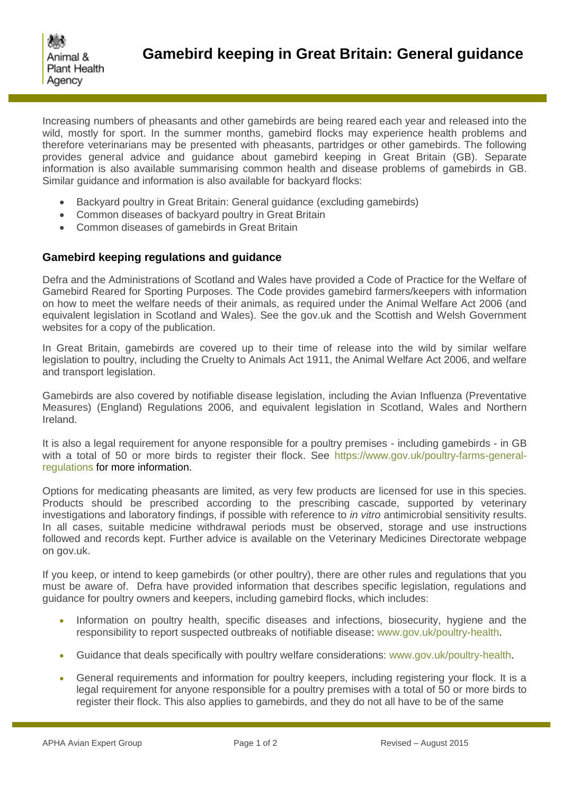

Increasing numbers of pheasants and other gamebirds are being reared each year and released into the wild, mostly for sport. In the summer months, gamebird flocks may experience health problems and therefore veterinarians may be presented with pheasants, partridges or other gamebirds. The following provides general advice and guidance about gamebird keeping in Great Britain (GB). Separate information is also available summarising common health and disease problems of gamebirds in GB. Similar guidance and information is also available for backyard flocks:

- Backyard poultry in Great Britain: General guidance (excluding gamebirds)
- Common diseases of backyard poultry in Great Britain
- Common diseases of gamebirds in Great Britain

## **Gamebird keeping regulations and guidance**

Defra and the Administrations of Scotland and Wales have provided a Code of Practice for the Welfare of Gamebird Reared for Sporting Purposes. The Code provides gamebird farmers/keepers with information on how to meet the welfare needs of their animals, as required under the Animal Welfare Act 2006 (and equivalent legislation in Scotland and Wales). See the gov.uk and the Scottish and Welsh Government websites for a copy of the publication.

In Great Britain, gamebirds are covered up to their time of release into the wild by similar welfare legislation to poultry, including the Cruelty to Animals Act 1911, the Animal Welfare Act 2006, and welfare and transport legislation.

Gamebirds are also covered by notifiable disease legislation, including the Avian Influenza (Preventative Measures) (England) Regulations 2006, and equivalent legislation in Scotland, Wales and Northern Ireland.

It is also a legal requirement for anyone responsible for a poultry premises - including gamebirds - in GB with a total of 50 or more birds to register their flock. See [https://www.gov.uk/poultry-farms-general](https://www.gov.uk/poultry-farms-general-regulations)[regulations](https://www.gov.uk/poultry-farms-general-regulations) for more information.

Options for medicating pheasants are limited, as very few products are licensed for use in this species. Products should be prescribed according to the prescribing cascade, supported by veterinary investigations and laboratory findings, if possible with reference to *in vitro* antimicrobial sensitivity results. In all cases, suitable medicine withdrawal periods must be observed, storage and use instructions followed and records kept. Further advice is available on the Veterinary Medicines Directorate webpage on gov.uk.

If you keep, or intend to keep gamebirds (or other poultry), there are other rules and regulations that you must be aware of. Defra have provided information that describes specific legislation, regulations and guidance for poultry owners and keepers, including gamebird flocks, which includes:

- Information on poultry health, specific diseases and infections, biosecurity, hygiene and the responsibility to report suspected outbreaks of notifiable disease: [www.gov.uk/poultry-health.](http://www.gov.uk/poultry-health)
- Guidance that deals specifically with poultry welfare considerations: www.gov.uk/poultry-health.
- General requirements and information for poultry keepers, including registering your flock. It is a legal requirement for anyone responsible for a poultry premises with a total of 50 or more birds to register their flock. This also applies to gamebirds, and they do not all have to be of the same